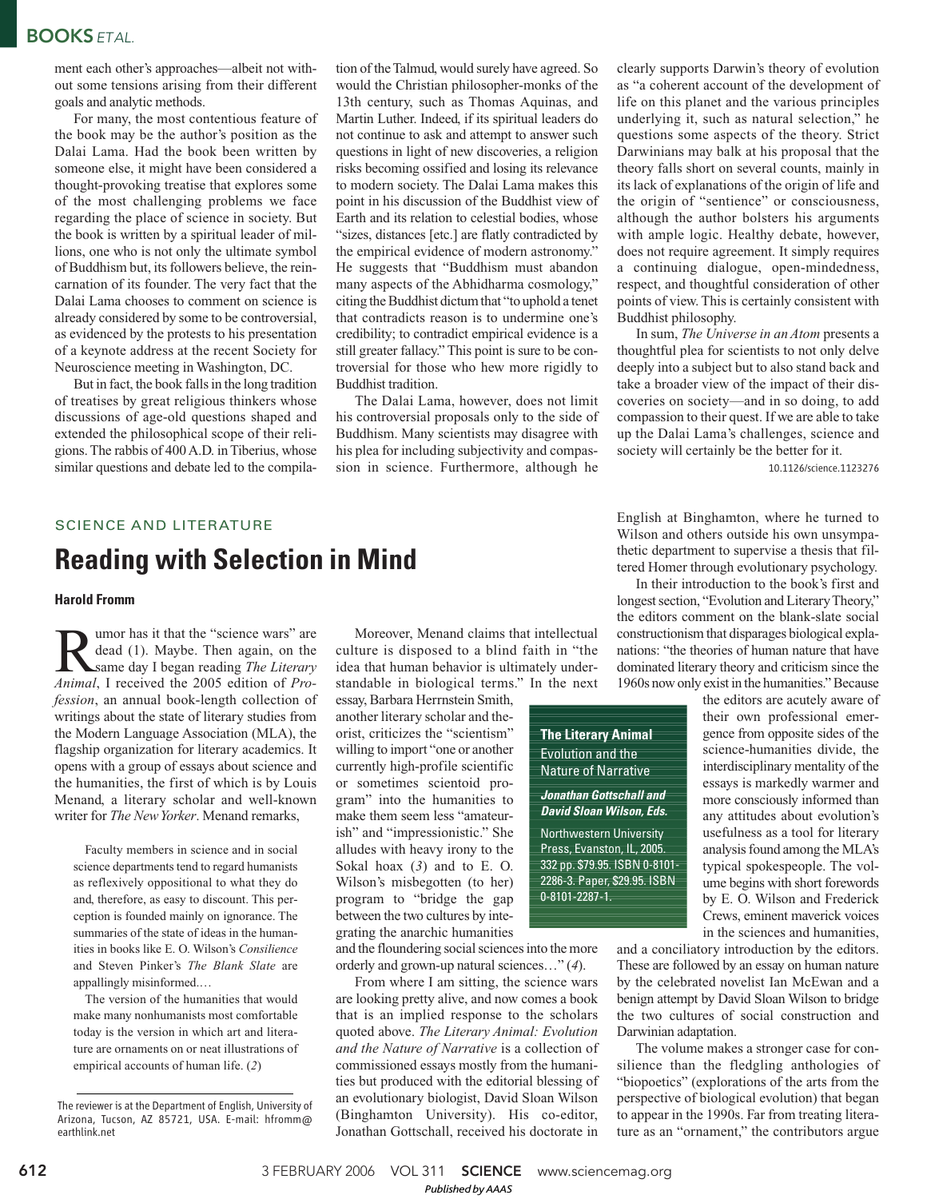ment each other's approaches—albeit not without some tensions arising from their different goals and analytic methods.

For many, the most contentious feature of the book may be the author's position as the Dalai Lama. Had the book been written by someone else, it might have been considered a thought-provoking treatise that explores some of the most challenging problems we face regarding the place of science in society. But the book is written by a spiritual leader of millions, one who is not only the ultimate symbol of Buddhism but, its followers believe, the reincarnation of its founder. The very fact that the Dalai Lama chooses to comment on science is already considered by some to be controversial, as evidenced by the protests to his presentation of a keynote address at the recent Society for Neuroscience meeting in Washington, DC.

But in fact, the book falls in the long tradition of treatises by great religious thinkers whose discussions of age-old questions shaped and extended the philosophical scope of their religions. The rabbis of 400 A.D. in Tiberius, whose similar questions and debate led to the compilation of the Talmud, would surely have agreed. So would the Christian philosopher-monks of the 13th century, such as Thomas Aquinas, and Martin Luther. Indeed, if its spiritual leaders do not continue to ask and attempt to answer such questions in light of new discoveries, a religion risks becoming ossified and losing its relevance to modern society. The Dalai Lama makes this point in his discussion of the Buddhist view of Earth and its relation to celestial bodies, whose "sizes, distances [etc.] are flatly contradicted by the empirical evidence of modern astronomy." He suggests that "Buddhism must abandon many aspects of the Abhidharma cosmology," citing the Buddhist dictum that "to uphold a tenet that contradicts reason is to undermine one's credibility; to contradict empirical evidence is a still greater fallacy." This point is sure to be controversial for those who hew more rigidly to Buddhist tradition.

The Dalai Lama, however, does not limit his controversial proposals only to the side of Buddhism. Many scientists may disagree with his plea for including subjectivity and compassion in science. Furthermore, although he

clearly supports Darwin's theory of evolution as "a coherent account of the development of life on this planet and the various principles underlying it, such as natural selection," he questions some aspects of the theory. Strict Darwinians may balk at his proposal that the theory falls short on several counts, mainly in its lack of explanations of the origin of life and the origin of "sentience" or consciousness, although the author bolsters his arguments with ample logic. Healthy debate, however, does not require agreement. It simply requires a continuing dialogue, open-mindedness, respect, and thoughtful consideration of other points of view. This is certainly consistent with Buddhist philosophy.

In sum, *The Universe in an Atom* presents a thoughtful plea for scientists to not only delve deeply into a subject but to also stand back and take a broader view of the impact of their discoveries on society—and in so doing, to add compassion to their quest. If we are able to take up the Dalai Lama's challenges, science and society will certainly be the better for it.

10.1126/science.1123276

#### SCIENCE AND LITERATURE

# **Reading with Selection in Mind**

#### **Harold Fromm**

**R** dead (1). Maybe. Then again, on the same day I began reading *The Literary Animal*, I received the 2005 edition of *Pro*umor has it that the "science wars" are dead (1). Maybe. Then again, on the same day I began reading *The Literary fession*, an annual book-length collection of writings about the state of literary studies from the Modern Language Association (MLA), the flagship organization for literary academics. It opens with a group of essays about science and the humanities, the first of which is by Louis Menand, a literary scholar and well-known writer for *The New Yorker*. Menand remarks,

Faculty members in science and in social science departments tend to regard humanists as reflexively oppositional to what they do and, therefore, as easy to discount. This perception is founded mainly on ignorance. The summaries of the state of ideas in the humanities in books like E. O. Wilson's *Consilience* and Steven Pinker's *The Blank Slate* are appallingly misinformed.…

The version of the humanities that would make many nonhumanists most comfortable today is the version in which art and literature are ornaments on or neat illustrations of empirical accounts of human life. (*2*)

Moreover, Menand claims that intellectual culture is disposed to a blind faith in "the idea that human behavior is ultimately understandable in biological terms." In the next

essay, Barbara Herrnstein Smith, another literary scholar and theorist, criticizes the "scientism" willing to import "one or another currently high-profile scientific or sometimes scientoid program" into the humanities to make them seem less "amateurish" and "impressionistic." She alludes with heavy irony to the Sokal hoax (*3*) and to E. O. Wilson's misbegotten (to her) program to "bridge the gap between the two cultures by integrating the anarchic humanities

and the floundering social sciences into the more orderly and grown-up natural sciences…" (*4*).

From where I am sitting, the science wars are looking pretty alive, and now comes a book that is an implied response to the scholars quoted above. *The Literary Animal: Evolution and the Nature of Narrative* is a collection of commissioned essays mostly from the humanities but produced with the editorial blessing of an evolutionary biologist, David Sloan Wilson (Binghamton University). His co-editor, Jonathan Gottschall, received his doctorate in



Northwestern University Press, Evanston, IL, 2005. 332 pp. \$79.95. ISBN 0-8101- 2286-3. Paper, \$29.95. ISBN 0-8101-2287-1.

**David Sloan Wilson, Eds.**

the editors are acutely aware of their own professional emergence from opposite sides of the science-humanities divide, the interdisciplinary mentality of the essays is markedly warmer and more consciously informed than any attitudes about evolution's usefulness as a tool for literary analysis found among the MLA's typical spokespeople. The volume begins with short forewords by E. O. Wilson and Frederick Crews, eminent maverick voices in the sciences and humanities,

and a conciliatory introduction by the editors. These are followed by an essay on human nature by the celebrated novelist Ian McEwan and a benign attempt by David Sloan Wilson to bridge the two cultures of social construction and Darwinian adaptation.

The volume makes a stronger case for consilience than the fledgling anthologies of "biopoetics" (explorations of the arts from the perspective of biological evolution) that began to appear in the 1990s. Far from treating literature as an "ornament," the contributors argue

English at Binghamton, where he turned to Wilson and others outside his own unsympathetic department to supervise a thesis that fil-

tered Homer through evolutionary psychology. In their introduction to the book's first and longest section, "Evolution and Literary Theory," the editors comment on the blank-slate social constructionism that disparages biological explanations: "the theories of human nature that have

dominated literary theory and criticism since the 1960s now only exist in the humanities." Because

612 **612 3 FEBRUARY 2006** VOL 311 **SCIENCE** www.sciencemag.org *Published byAAAS*

The reviewer is at the Department of English, University of Arizona, Tucson, AZ 85721, USA. E-mail: hfromm@ earthlink.net